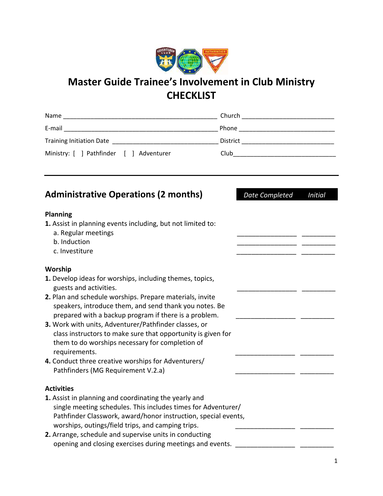

# **Master Guide Trainee's Involvement in Club Ministry CHECKLIST**

| Name                                    | Church   |
|-----------------------------------------|----------|
| E-mail                                  | Phone    |
| <b>Training Initiation Date</b>         | District |
| Ministry: [ ] Pathfinder [ ] Adventurer | Club     |

| <b>Administrative Operations (2 months)</b>                                                                                                                                                                                                                                                                                                                                                                                                                                                                                                                            | Date Completed | <b>Initial</b> |
|------------------------------------------------------------------------------------------------------------------------------------------------------------------------------------------------------------------------------------------------------------------------------------------------------------------------------------------------------------------------------------------------------------------------------------------------------------------------------------------------------------------------------------------------------------------------|----------------|----------------|
| <b>Planning</b><br>1. Assist in planning events including, but not limited to:<br>a. Regular meetings<br>b. Induction<br>c. Investiture                                                                                                                                                                                                                                                                                                                                                                                                                                |                |                |
| Worship<br>1. Develop ideas for worships, including themes, topics,<br>guests and activities.<br>2. Plan and schedule worships. Prepare materials, invite<br>speakers, introduce them, and send thank you notes. Be<br>prepared with a backup program if there is a problem.<br>3. Work with units, Adventurer/Pathfinder classes, or<br>class instructors to make sure that opportunity is given for<br>them to do worships necessary for completion of<br>requirements.<br>4. Conduct three creative worships for Adventurers/<br>Pathfinders (MG Requirement V.2.a) |                |                |
| <b>Activities</b><br>1. Assist in planning and coordinating the yearly and<br>single meeting schedules. This includes times for Adventurer/<br>Pathfinder Classwork, award/honor instruction, special events,<br>worships, outings/field trips, and camping trips.<br>2. Arrange, schedule and supervise units in conducting<br>opening and closing exercises during meetings and events.                                                                                                                                                                              |                |                |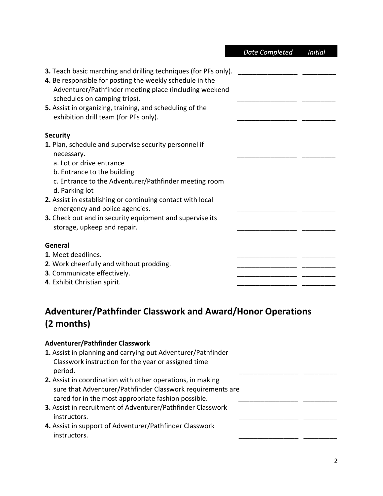|                                                                                                                                                                                                                                                                                                                                                                                                      | <b>Date Completed</b> | <b>Initial</b> |
|------------------------------------------------------------------------------------------------------------------------------------------------------------------------------------------------------------------------------------------------------------------------------------------------------------------------------------------------------------------------------------------------------|-----------------------|----------------|
| <b>3.</b> Teach basic marching and drilling techniques (for PFs only).<br>4. Be responsible for posting the weekly schedule in the<br>Adventurer/Pathfinder meeting place (including weekend<br>schedules on camping trips).<br>5. Assist in organizing, training, and scheduling of the<br>exhibition drill team (for PFs only).                                                                    |                       |                |
| <b>Security</b>                                                                                                                                                                                                                                                                                                                                                                                      |                       |                |
| 1. Plan, schedule and supervise security personnel if<br>necessary.<br>a. Lot or drive entrance<br>b. Entrance to the building<br>c. Entrance to the Adventurer/Pathfinder meeting room<br>d. Parking lot<br>2. Assist in establishing or continuing contact with local<br>emergency and police agencies.<br>3. Check out and in security equipment and supervise its<br>storage, upkeep and repair. |                       |                |
| General<br>1. Meet deadlines.<br>2. Work cheerfully and without prodding.<br>3. Communicate effectively.<br>4. Exhibit Christian spirit.                                                                                                                                                                                                                                                             |                       |                |

# **Adventurer/Pathfinder Classwork and Award/Honor Operations (2 months)**

### **Adventurer/Pathfinder Classwork**

- **1.** Assist in planning and carrying out Adventurer/Pathfinder Classwork instruction for the year or assigned time period. \_\_\_\_\_\_\_\_\_\_\_\_\_\_\_\_ \_\_\_\_\_\_\_\_\_
- **2.** Assist in coordination with other operations, in making sure that Adventurer/Pathfinder Classwork requirements are cared for in the most appropriate fashion possible.
- **3.** Assist in recruitment of Adventurer/Pathfinder Classwork instructors.
- **4.** Assist in support of Adventurer/Pathfinder Classwork instructors.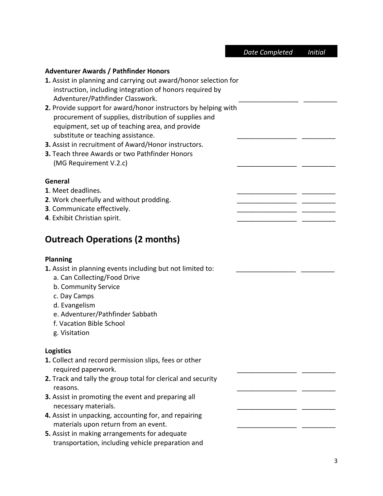#### **Adventurer Awards / Pathfinder Honors**

| 1. Assist in planning and carrying out award/honor selection for |
|------------------------------------------------------------------|
| instruction, including integration of honors required by         |
| Adventurer/Pathfinder Classwork.                                 |

- **2.** Provide support for award/honor instructors by helping with procurement of supplies, distribution of supplies and equipment, set up of teaching area, and provide substitute or teaching assistance.
- **3.** Assist in recruitment of Award/Honor instructors.
- **3.** Teach three Awards or two Pathfinder Honors (MG Requirement V.2.c)

#### **General**

- **1**. Meet deadlines.
- **2**. Work cheerfully and without prodding.
- **3**. Communicate effectively.
- **4**. Exhibit Christian spirit.

## **Outreach Operations (2 months)**

#### **Planning**

1. Assist in planning events including but not limited to:

- a. Can Collecting/Food Drive
- b. Community Service
- c. Day Camps
- d. Evangelism
- e. Adventurer/Pathfinder Sabbath
- f. Vacation Bible School
- g. Visitation

#### **Logistics**

- **1.** Collect and record permission slips, fees or other required paperwork.
- **2.** Track and tally the group total for clerical and security reasons. \_\_\_\_\_\_\_\_\_\_\_\_\_\_\_\_ \_\_\_\_\_\_\_\_\_
- **3.** Assist in promoting the event and preparing all necessary materials.
- **4.** Assist in unpacking, accounting for, and repairing materials upon return from an event.
- **5.** Assist in making arrangements for adequate transportation, including vehicle preparation and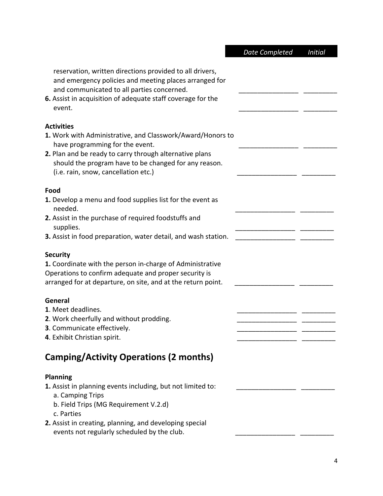|                                                                                                                                                                                                                                                                                | <b>Date Completed</b> | <b>Initial</b> |
|--------------------------------------------------------------------------------------------------------------------------------------------------------------------------------------------------------------------------------------------------------------------------------|-----------------------|----------------|
| reservation, written directions provided to all drivers,<br>and emergency policies and meeting places arranged for<br>and communicated to all parties concerned.<br>6. Assist in acquisition of adequate staff coverage for the<br>event.                                      |                       |                |
| <b>Activities</b><br>1. Work with Administrative, and Classwork/Award/Honors to<br>have programming for the event.<br>2. Plan and be ready to carry through alternative plans<br>should the program have to be changed for any reason.<br>(i.e. rain, snow, cancellation etc.) |                       |                |
| Food<br>1. Develop a menu and food supplies list for the event as<br>needed.<br>2. Assist in the purchase of required foodstuffs and<br>supplies.<br>3. Assist in food preparation, water detail, and wash station.                                                            |                       |                |
| <b>Security</b><br>1. Coordinate with the person in-charge of Administrative<br>Operations to confirm adequate and proper security is<br>arranged for at departure, on site, and at the return point.                                                                          |                       |                |
| General<br>1. Meet deadlines.<br>2. Work cheerfully and without prodding.<br>3. Communicate effectively.<br>4. Exhibit Christian spirit.                                                                                                                                       |                       |                |
| <b>Camping/Activity Operations (2 months)</b>                                                                                                                                                                                                                                  |                       |                |
| <b>Planning</b><br>1. Assist in planning events including, but not limited to:<br>a. Camping Trips<br>b. Field Trips (MG Requirement V.2.d)<br>c. Parties<br>2. Assist in creating, planning, and developing special<br>events not regularly scheduled by the club.            |                       |                |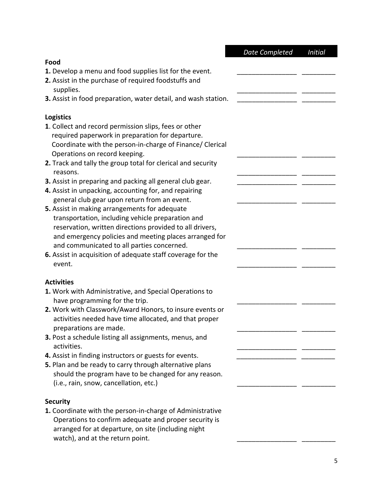|                                                                                                                                                                                                                                                                                                                                                                                                                                                                                                                                                                | <b>Date Completed</b> | <b>Initial</b> |
|----------------------------------------------------------------------------------------------------------------------------------------------------------------------------------------------------------------------------------------------------------------------------------------------------------------------------------------------------------------------------------------------------------------------------------------------------------------------------------------------------------------------------------------------------------------|-----------------------|----------------|
| Food                                                                                                                                                                                                                                                                                                                                                                                                                                                                                                                                                           |                       |                |
| 1. Develop a menu and food supplies list for the event.<br>2. Assist in the purchase of required foodstuffs and<br>supplies.                                                                                                                                                                                                                                                                                                                                                                                                                                   |                       |                |
| 3. Assist in food preparation, water detail, and wash station.                                                                                                                                                                                                                                                                                                                                                                                                                                                                                                 |                       |                |
|                                                                                                                                                                                                                                                                                                                                                                                                                                                                                                                                                                |                       |                |
| <b>Logistics</b>                                                                                                                                                                                                                                                                                                                                                                                                                                                                                                                                               |                       |                |
| 1. Collect and record permission slips, fees or other<br>required paperwork in preparation for departure.<br>Coordinate with the person-in-charge of Finance/ Clerical<br>Operations on record keeping.<br>2. Track and tally the group total for clerical and security                                                                                                                                                                                                                                                                                        |                       |                |
| reasons.                                                                                                                                                                                                                                                                                                                                                                                                                                                                                                                                                       |                       |                |
| 3. Assist in preparing and packing all general club gear.                                                                                                                                                                                                                                                                                                                                                                                                                                                                                                      |                       |                |
| 4. Assist in unpacking, accounting for, and repairing                                                                                                                                                                                                                                                                                                                                                                                                                                                                                                          |                       |                |
| general club gear upon return from an event.                                                                                                                                                                                                                                                                                                                                                                                                                                                                                                                   |                       |                |
| 5. Assist in making arrangements for adequate<br>transportation, including vehicle preparation and<br>reservation, written directions provided to all drivers,<br>and emergency policies and meeting places arranged for<br>and communicated to all parties concerned.<br>6. Assist in acquisition of adequate staff coverage for the                                                                                                                                                                                                                          |                       |                |
| event.                                                                                                                                                                                                                                                                                                                                                                                                                                                                                                                                                         |                       |                |
| <b>Activities</b><br>1. Work with Administrative, and Special Operations to<br>have programming for the trip.<br>2. Work with Classwork/Award Honors, to insure events or<br>activities needed have time allocated, and that proper<br>preparations are made.<br>3. Post a schedule listing all assignments, menus, and<br>activities.<br>4. Assist in finding instructors or guests for events.<br>5. Plan and be ready to carry through alternative plans<br>should the program have to be changed for any reason.<br>(i.e., rain, snow, cancellation, etc.) |                       |                |
| <b>Security</b>                                                                                                                                                                                                                                                                                                                                                                                                                                                                                                                                                |                       |                |
| 1. Coordinate with the person-in-charge of Administrative<br>Operations to confirm adequate and proper security is<br>arranged for at departure, on site (including night                                                                                                                                                                                                                                                                                                                                                                                      |                       |                |

watch), and at the return point.  $\begin{array}{ccc} \hline \end{array}$   $\begin{array}{ccc} \hline \end{array}$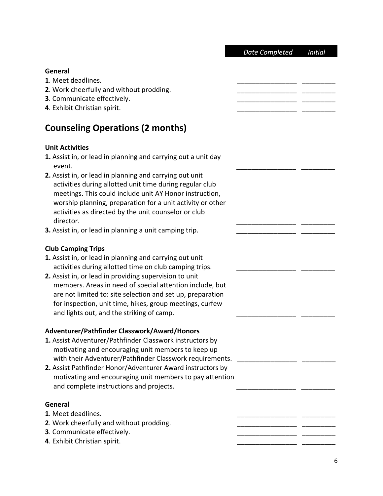|                                                                                                                                                                                                                                                                                                                                                                                                                                                                                  | Date Completed | <b>Initial</b> |
|----------------------------------------------------------------------------------------------------------------------------------------------------------------------------------------------------------------------------------------------------------------------------------------------------------------------------------------------------------------------------------------------------------------------------------------------------------------------------------|----------------|----------------|
| General<br>1. Meet deadlines.<br>2. Work cheerfully and without prodding.<br>3. Communicate effectively.<br>4. Exhibit Christian spirit.                                                                                                                                                                                                                                                                                                                                         |                |                |
| <b>Counseling Operations (2 months)</b>                                                                                                                                                                                                                                                                                                                                                                                                                                          |                |                |
| <b>Unit Activities</b><br>1. Assist in, or lead in planning and carrying out a unit day<br>event.<br>2. Assist in, or lead in planning and carrying out unit<br>activities during allotted unit time during regular club<br>meetings. This could include unit AY Honor instruction,<br>worship planning, preparation for a unit activity or other<br>activities as directed by the unit counselor or club<br>director.<br>3. Assist in, or lead in planning a unit camping trip. |                |                |
| <b>Club Camping Trips</b><br>1. Assist in, or lead in planning and carrying out unit<br>activities during allotted time on club camping trips.<br>2. Assist in, or lead in providing supervision to unit<br>members. Areas in need of special attention include, but<br>are not limited to: site selection and set up, preparation<br>for inspection, unit time, hikes, group meetings, curfew<br>and lights out, and the striking of camp.                                      |                |                |
| Adventurer/Pathfinder Classwork/Award/Honors<br>1. Assist Adventurer/Pathfinder Classwork instructors by<br>motivating and encouraging unit members to keep up<br>with their Adventurer/Pathfinder Classwork requirements.<br>2. Assist Pathfinder Honor/Adventurer Award instructors by<br>motivating and encouraging unit members to pay attention<br>and complete instructions and projects.                                                                                  |                |                |
| General<br>1. Meet deadlines.<br>2. Work cheerfully and without prodding.<br>3. Communicate effectively.<br>4. Exhibit Christian spirit.                                                                                                                                                                                                                                                                                                                                         |                |                |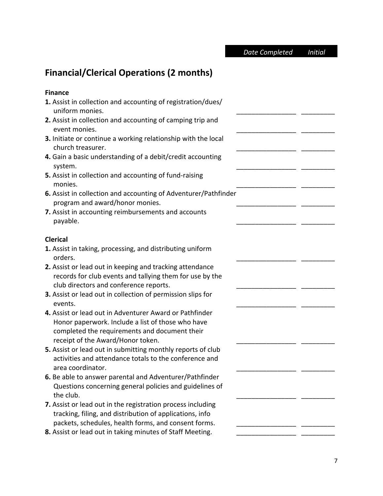**…***Date Completed Initial…….*

# **Financial/Clerical Operations (2 months)**

## **Finance**

| 1. Assist in collection and accounting of registration/dues/<br>uniform monies.                                                                                                                    |  |
|----------------------------------------------------------------------------------------------------------------------------------------------------------------------------------------------------|--|
| 2. Assist in collection and accounting of camping trip and<br>event monies.                                                                                                                        |  |
| 3. Initiate or continue a working relationship with the local<br>church treasurer.                                                                                                                 |  |
| 4. Gain a basic understanding of a debit/credit accounting<br>system.                                                                                                                              |  |
| 5. Assist in collection and accounting of fund-raising<br>monies.                                                                                                                                  |  |
| 6. Assist in collection and accounting of Adventurer/Pathfinder<br>program and award/honor monies.                                                                                                 |  |
| 7. Assist in accounting reimbursements and accounts<br>payable.                                                                                                                                    |  |
| <b>Clerical</b>                                                                                                                                                                                    |  |
| 1. Assist in taking, processing, and distributing uniform<br>orders.                                                                                                                               |  |
| 2. Assist or lead out in keeping and tracking attendance<br>records for club events and tallying them for use by the<br>club directors and conference reports.                                     |  |
| 3. Assist or lead out in collection of permission slips for<br>events.                                                                                                                             |  |
| 4. Assist or lead out in Adventurer Award or Pathfinder<br>Honor paperwork. Include a list of those who have<br>completed the requirements and document their<br>receipt of the Award/Honor token. |  |
| 5. Assist or lead out in submitting monthly reports of club<br>activities and attendance totals to the conference and<br>area coordinator.                                                         |  |
| 6. Be able to answer parental and Adventurer/Pathfinder<br>Questions concerning general policies and guidelines of<br>the club.                                                                    |  |
| 7. Assist or lead out in the registration process including<br>tracking, filing, and distribution of applications, info<br>packets, schedules, health forms, and consent forms.                    |  |
| 8. Assist or lead out in taking minutes of Staff Meeting.                                                                                                                                          |  |